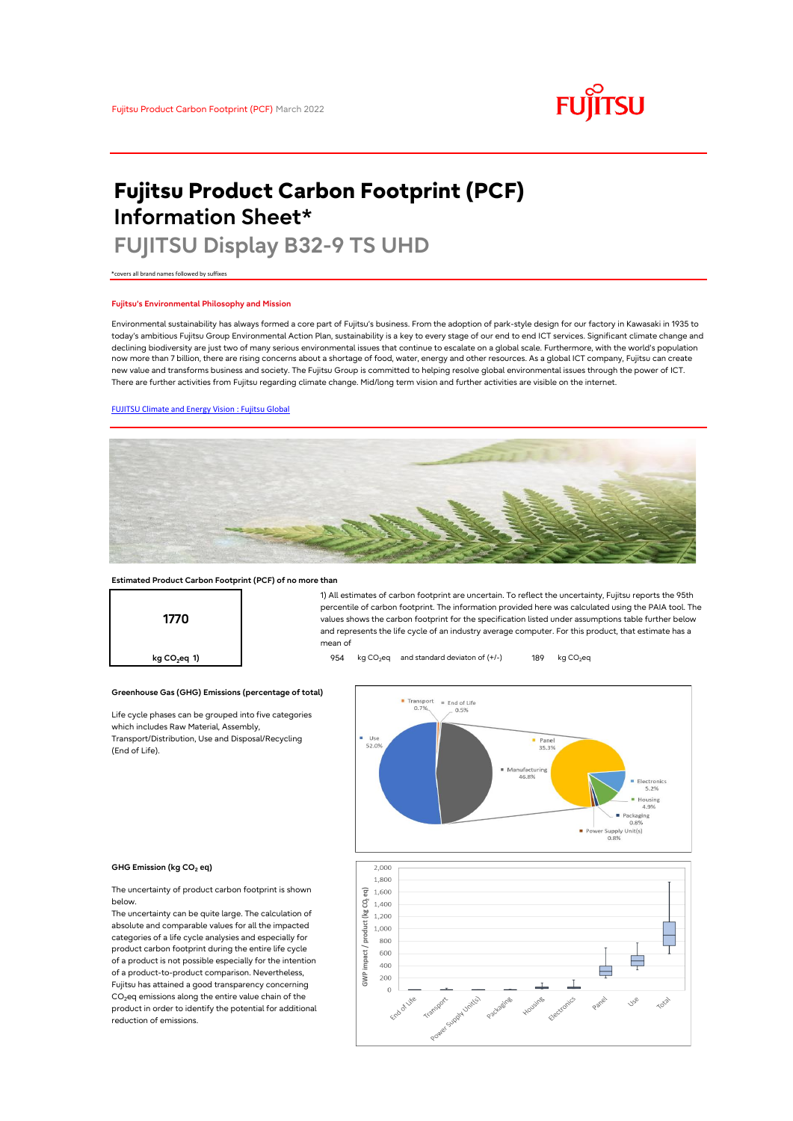# **FUJITSU**

# **Fujitsu Product Carbon Footprint (PCF) Information Sheet\***

# **FUJITSU Display B32-9 TS UHD**

\*covers all brand names followed by suffixes

## **Fujitsu's Environmental Philosophy and Mission**

Environmental sustainability has always formed a core part of Fujitsu's business. From the adoption of park-style design for our factory in Kawasaki in 1935 to today's ambitious Fujitsu Group Environmental Action Plan, sustainability is a key to every stage of our end to end ICT services. Significant climate change and declining biodiversity are just two of many serious environmental issues that continue to escalate on a global scale. Furthermore, with the world's population now more than 7 billion, there are rising concerns about a shortage of food, water, energy and other resources. As a global ICT company, Fujitsu can create new value and transforms business and society. The Fujitsu Group is committed to helping resolve global environmental issues through the power of ICT. There are further activities from Fujitsu regarding climate change. Mid/long term vision and further activities are visible on the internet.

# [FUJITSU Climate and Energy Vision : Fujitsu Global](https://www.fujitsu.com/global/about/environment/climate-energy-vision/)



### **Estimated Product Carbon Footprint (PCF) of no more than**



**Greenhouse Gas (GHG) Emissions (percentage of total)**

Life cycle phases can be grouped into five categories which includes Raw Material, Assembly, Transport/Distribution, Use and Disposal/Recycling (End of Life).





#### **GHG Emission (kg CO<sup>2</sup> eq)**

The uncertainty of product carbon footprint is shown below.

The uncertainty can be quite large. The calculation of absolute and comparable values for all the impacted categories of a life cycle analysies and especially for product carbon footprint during the entire life cycle of a product is not possible especially for the intention of a product-to-product comparison. Nevertheless, Fujitsu has attained a good transparency concerning  $CO<sub>2</sub>$ eq emissions along the entire value chain of the product in order to identify the potential for additional reduction of emissions.